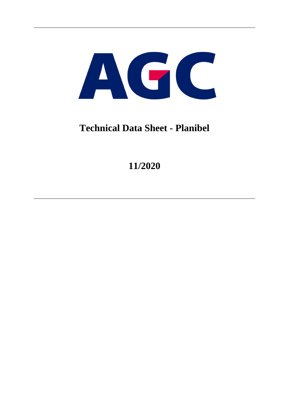

## **Technical Data Sheet - Planibel**

**11/2020**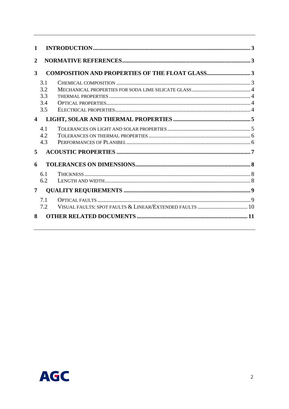| $\mathbf{1}$         |                                 |                                                         |  |
|----------------------|---------------------------------|---------------------------------------------------------|--|
| $\overline{2}$       |                                 |                                                         |  |
| 3                    |                                 | <b>COMPOSITION AND PROPERTIES OF THE FLOAT GLASS3</b>   |  |
|                      | 3.1<br>3.2<br>3.3<br>3.4<br>3.5 |                                                         |  |
| $\blacktriangleleft$ |                                 |                                                         |  |
| 5                    | 4.1<br>4.2<br>4.3               |                                                         |  |
| 6                    |                                 |                                                         |  |
|                      | 6.1<br>6.2                      |                                                         |  |
| 7                    |                                 |                                                         |  |
|                      | 7.1<br>7.2                      | VISUAL FAULTS: SPOT FAULTS & LINEAR/EXTENDED FAULTS  10 |  |
| 8                    |                                 |                                                         |  |

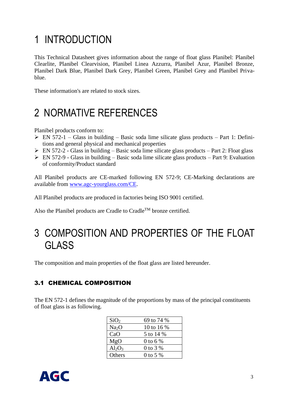# <span id="page-2-0"></span>1 INTRODUCTION

This Technical Datasheet gives information about the range of float glass Planibel: Planibel Clearlite, Planibel Clearvision, Planibel Linea Azzurra, Planibel Azur, Planibel Bronze, Planibel Dark Blue, Planibel Dark Grey, Planibel Green, Planibel Grey and Planibel Privablue.

These information's are related to stock sizes.

## <span id="page-2-1"></span>2 NORMATIVE REFERENCES

Planibel products conform to:

- $\triangleright$  EN 572-1 Glass in building Basic soda lime silicate glass products Part 1: Definitions and general physical and mechanical properties
- $\triangleright$  EN 572-2 Glass in building Basic soda lime silicate glass products Part 2: Float glass
- $\triangleright$  EN 572-9 Glass in building Basic soda lime silicate glass products Part 9: Evaluation of conformity/Product standard

All Planibel products are CE-marked following EN 572-9; CE-Marking declarations are available from [www.agc-yourglass.com/CE.](http://www.agc-yourglass.com/CE)

All Planibel products are produced in factories being ISO 9001 certified.

Also the Planibel products are Cradle to Cradle<sup>TM</sup> bronze certified.

## <span id="page-2-2"></span>3 COMPOSITION AND PROPERTIES OF THE FLOAT **GLASS**

The composition and main properties of the float glass are listed hereunder.

### <span id="page-2-3"></span>3.1 CHEMICAL COMPOSITION

The EN 572-1 defines the magnitude of the proportions by mass of the principal constituents of float glass is as following.

| SiO <sub>2</sub>  | 69 to 74 % |
|-------------------|------------|
| Na <sub>2</sub> O | 10 to 16 % |
| CaO               | 5 to 14 %  |
| MgO               | 0 to 6 %   |
| $Al_2O_3$         | 0 to 3 %   |
| Others            | $0$ to 5 % |

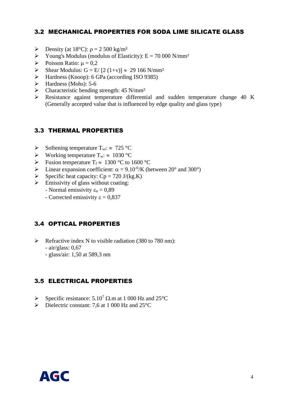### <span id="page-3-0"></span>3.2 MECHANICAL PROPERTIES FOR SODA LIME SILICATE GLASS

- $\triangleright$  Density (at 18°C):  $\rho = 2500 \text{ kg/m}^3$
- $\triangleright$  Young's Modulus (modulus of Elasticity): E = 70 000 N/mm<sup>2</sup>
- $\triangleright$  Poisson Ratio:  $\mu = 0.2$
- $\triangleright$  Shear Modulus: G = E/ [2 (1+v)]  $\approx$  29 166 N/mm<sup>2</sup>
- ➢ Hardness (Knoop): 6 GPa (according ISO 9385)
- $\triangleright$  Hardness (Mohs): 5-6
- $\triangleright$  Characteristic bending strength: 45 N/mm<sup>2</sup>
- ➢ Resistance against temperature differential and sudden temperature change 40 K (Generally accepted value that is influenced by edge quality and glass type)

#### <span id="page-3-1"></span>3.3 THERMAL PROPERTIES

- $\triangleright$  Softening temperature T<sub>so</sub>:  $\approx$  725 °C
- $\triangleright$  Working temperature T<sub>w</sub>:  $\approx 1030$  °C
- $\triangleright$  Fusion temperature T<sub>f</sub>  $\approx 1300$  °C to 1600 °C
- $\triangleright$  Linear expansion coefficient:  $\alpha = 9.10^{-6}$ /K (between 20° and 300°)
- $\triangleright$  Specific heat capacity: Cp = 720 J/(kg.K)
- $\triangleright$  Emissivity of glass without coating:
	- Normal emissivity  $\varepsilon_n = 0.89$
	- Corrected emissivity  $\epsilon = 0.837$

### <span id="page-3-2"></span>3.4 OPTICAL PROPERTIES

- $\triangleright$  Refractive index N to visible radiation (380 to 780 nm):
	- air/glass: 0,67
	- glass/air: 1,50 at 589,3 nm

#### <span id="page-3-3"></span>3.5 ELECTRICAL PROPERTIES

- $\triangleright$  Specific resistance: 5.10<sup>7</sup>  $\Omega$  m at 1 000 Hz and 25<sup>o</sup>C
- $\triangleright$  Dielectric constant: 7.6 at 1 000 Hz and 25 °C

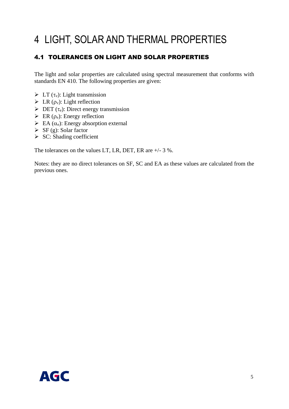# <span id="page-4-0"></span>4 LIGHT, SOLAR AND THERMAL PROPERTIES

### <span id="page-4-1"></span>4.1 TOLERANCES ON LIGHT AND SOLAR PROPERTIES

The light and solar properties are calculated using spectral measurement that conforms with standards EN 410. The following properties are given:

- $\triangleright$  LT ( $\tau_v$ ): Light transmission
- $\triangleright$  LR ( $\rho_v$ ): Light reflection
- $\triangleright$  DET ( $\tau_e$ ): Direct energy transmission
- $\triangleright$  ER ( $\rho_e$ ): Energy reflection
- $\triangleright$  EA ( $\alpha_e$ ): Energy absorption external
- $\triangleright$  SF (g): Solar factor
- $\triangleright$  SC: Shading coefficient

The tolerances on the values LT, LR, DET, ER are +/- 3 %.

Notes: they are no direct tolerances on SF, SC and EA as these values are calculated from the previous ones.

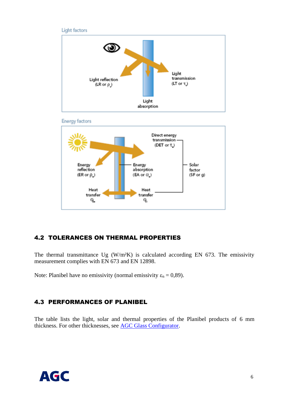





### <span id="page-5-0"></span>4.2 TOLERANCES ON THERMAL PROPERTIES

The thermal transmittance Ug  $(W/m^2K)$  is calculated according EN 673. The emissivity measurement complies with EN 673 and EN 12898.

Note: Planibel have no emissivity (normal emissivity  $\varepsilon_n = 0.89$ ).

### <span id="page-5-1"></span>4.3 PERFORMANCES OF PLANIBEL

The table lists the light, solar and thermal properties of the Planibel products of 6 mm thickness. For other thicknesses, see AGC [Glass Configurator.](https://www.agc-yourglass.com/configurator/en)

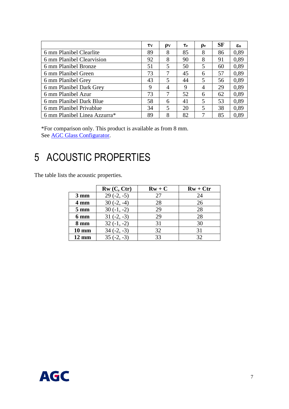|                              | $\tau_{\rm V}$ | ρv | Тe | $\rho_e$                | <b>SF</b> | $\epsilon_{\rm n}$ |
|------------------------------|----------------|----|----|-------------------------|-----------|--------------------|
| 6 mm Planibel Clearlite      | 89             | 8  | 85 | 8                       | 86        | 0,89               |
| 6 mm Planibel Clearvision    | 92             | 8  | 90 | 8                       | 91        | 0,89               |
| 6 mm Planibel Bronze         |                | 5  | 50 | 5                       | 60        | 0,89               |
| 6 mm Planibel Green          | 73             | 7  | 45 | 6                       | 57        | 0,89               |
| 6 mm Planibel Grey           |                | 5  | 44 | 5                       | 56        | 0,89               |
| 6 mm Planibel Dark Grey      |                | 4  | 9  | 4                       | 29        | 0,89               |
| 6 mm Planibel Azur           |                | 7  | 52 | 6                       | 62        | 0,89               |
| 6 mm Planibel Dark Blue      |                | 6  | 41 | 5                       | 53        | 0,89               |
| 6 mm Planibel Privablue      |                | 5  | 20 | $\overline{\mathbf{5}}$ | 38        | 0,89               |
| 6 mm Planibel Linea Azzurra* |                | 8  | 82 | 7                       | 85        | 0.89               |

\*For comparison only. This product is available as from 8 mm. See **AGC** [Glass Configurator.](https://www.agc-yourglass.com/configurator/en)

## <span id="page-6-0"></span>5 ACOUSTIC PROPERTIES

The table lists the acoustic properties.

|                 | Rw(C, Ctr)   | $Rw + C$ | $Rw + Ctr$ |
|-----------------|--------------|----------|------------|
| $3 \text{ mm}$  | $29(-2, -5)$ | 27       | 24         |
| 4 mm            | $30(-2, -4)$ | 28       | 26         |
| $5 \text{ mm}$  | $30(-1, -2)$ | 29       | 28         |
| 6 mm            | $31(-2,-3)$  | 29       | 28         |
| 8 mm            | $32(-1, -2)$ | 31       | 30         |
| $10 \text{ mm}$ | $34(-2,-3)$  | 32       | 31         |
| $12 \text{ mm}$ | $35(-2,-3)$  | 33       | 32         |

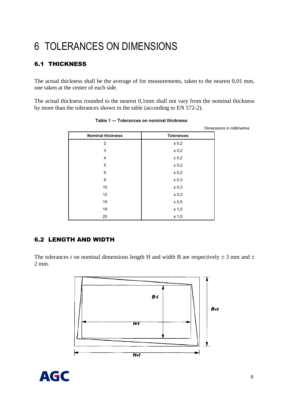# <span id="page-7-0"></span>6 TOLERANCES ON DIMENSIONS

## <span id="page-7-1"></span>6.1 THICKNESS

The actual thickness shall be the average of for measurements, taken to the nearest 0,01 mm, one taken at the center of each side.

The actual thickness rounded to the nearest 0,1mm shall not vary from the nominal thickness by more than the tolerances shown in the table (according to EN 572-2).

|                          |                   | Dimensions in millimetres |
|--------------------------|-------------------|---------------------------|
| <b>Nominal thickness</b> | <b>Tolerances</b> |                           |
| 2                        | ± 0,2             |                           |
| 3                        | ± 0,2             |                           |
| 4                        | ± 0,2             |                           |
| 5                        | ± 0,2             |                           |
| 6                        | ± 0,2             |                           |
| 8                        | ± 0,3             |                           |
| 10                       | ± 0,3             |                           |
| 12                       | ± 0,3             |                           |
| 15                       | ± 0,5             |                           |
| 19                       | ± 1,0             |                           |
| 25                       | ± 1,0             |                           |

Table 1 - Tolerances on nominal thickness

### <span id="page-7-2"></span>6.2 LENGTH AND WIDTH

The tolerances *t* on nominal dimensions length H and width B are respectively  $\pm$  3 mm and  $\pm$ 2 mm.



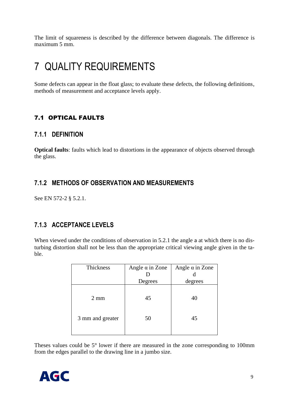The limit of squareness is described by the difference between diagonals. The difference is maximum 5 mm.

## <span id="page-8-0"></span>7 QUALITY REQUIREMENTS

Some defects can appear in the float glass; to evaluate these defects, the following definitions, methods of measurement and acceptance levels apply.

### <span id="page-8-1"></span>7.1 OPTICAL FAULTS

### **7.1.1 DEFINITION**

**Optical faults**: faults which lead to distortions in the appearance of objects observed through the glass.

### **7.1.2 METHODS OF OBSERVATION AND MEASUREMENTS**

See EN 572-2 § 5.2.1.

## **7.1.3 ACCEPTANCE LEVELS**

When viewed under the conditions of observation in 5.2.1 the angle a at which there is no disturbing distortion shall not be less than the appropriate critical viewing angle given in the table.

| Thickness        | Angle $\alpha$ in Zone | Angle $\alpha$ in Zone |  |
|------------------|------------------------|------------------------|--|
|                  |                        |                        |  |
|                  | Degrees                | degrees                |  |
| $2 \text{ mm}$   | 45                     | 40                     |  |
| 3 mm and greater | 50                     | 45                     |  |

Theses values could be 5° lower if there are measured in the zone corresponding to 100mm from the edges parallel to the drawing line in a jumbo size.

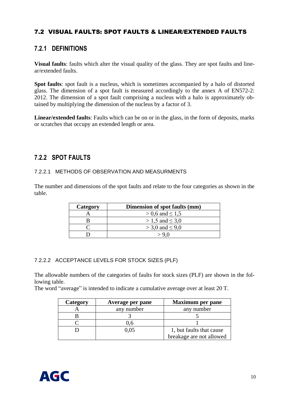### <span id="page-9-0"></span>7.2 VISUAL FAULTS: SPOT FAULTS & LINEAR/EXTENDED FAULTS

### **7.2.1 DEFINITIONS**

**Visual faults**: faults which alter the visual quality of the glass. They are spot faults and linear/extended faults.

**Spot faults**: spot fault is a nucleus, which is sometimes accompanied by a halo of distorted glass. The dimension of a spot fault is measured accordingly to the annex A of EN572-2: 2012. The dimension of a spot fault comprising a nucleus with a halo is approximately obtained by multiplying the dimension of the nucleus by a factor of 3.

**Linear/extended faults**: Faults which can be on or in the glass, in the form of deposits, marks or scratches that occupy an extended length or area.

### **7.2.2 SPOT FAULTS**

#### 7.2.2.1 METHODS OF OBSERVATION AND MEASURMENTS

The number and dimensions of the spot faults and relate to the four categories as shown in the table.

| Category | Dimension of spot faults (mm) |
|----------|-------------------------------|
|          | $> 0.6$ and $\leq 1.5$        |
|          | $> 1.5$ and $\leq 3.0$        |
|          | $>$ 3,0 and $\leq$ 9,0        |
|          | $\sim$ 0 0                    |

#### 7.2.2.2 ACCEPTANCE LEVELS FOR STOCK SIZES (PLF)

The allowable numbers of the categories of faults for stock sizes (PLF) are shown in the following table.

The word "average" is intended to indicate a cumulative average over at least 20 T.

| Category | Average per pane | <b>Maximum per pane</b>  |
|----------|------------------|--------------------------|
|          | any number       | any number               |
|          |                  |                          |
|          | J.O              |                          |
|          | 0.05             | 1, but faults that cause |
|          |                  | breakage are not allowed |